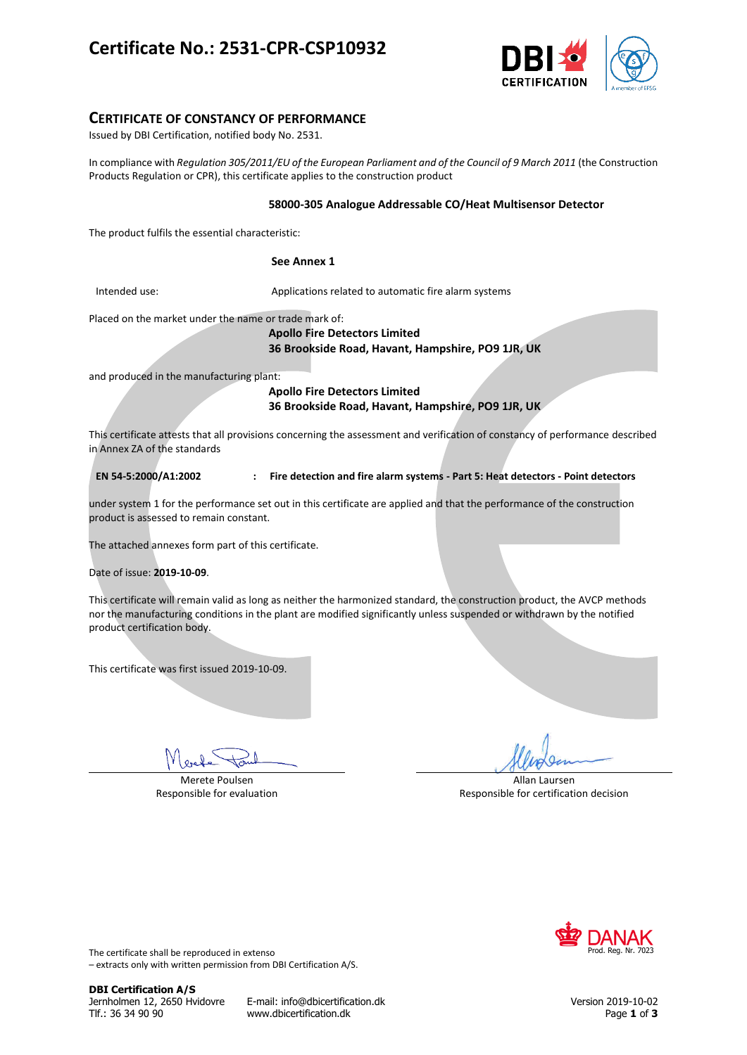# **Certificate No.: 2531-CPR-CSP10932**



## **CERTIFICATE OF CONSTANCY OF PERFORMANCE**

Issued by DBI Certification, notified body No. 2531.

In compliance with *Regulation 305/2011/EU of the European Parliament and of the Council of 9 March 2011* (the Construction Products Regulation or CPR), this certificate applies to the construction product

### **58000-305 Analogue Addressable CO/Heat Multisensor Detector**

The product fulfils the essential characteristic:

### **See Annex 1**

Intended use: Applications related to automatic fire alarm systems

Placed on the market under the name or trade mark of:

**Apollo Fire Detectors Limited 36 Brookside Road, Havant, Hampshire, PO9 1JR, UK**

and produced in the manufacturing plant:

**Apollo Fire Detectors Limited 36 Brookside Road, Havant, Hampshire, PO9 1JR, UK**

This certificate attests that all provisions concerning the assessment and verification of constancy of performance described in Annex ZA of the standards

**EN 54-5:2000/A1:2002 : Fire detection and fire alarm systems - Part 5: Heat detectors - Point detectors**

under system 1 for the performance set out in this certificate are applied and that the performance of the construction product is assessed to remain constant.

The attached annexes form part of this certificate.

Date of issue: **2019-10-09**.

This certificate will remain valid as long as neither the harmonized standard, the construction product, the AVCP methods nor the manufacturing conditions in the plant are modified significantly unless suspended or withdrawn by the notified product certification body.

This certificate was first issued 2019-10-09.

Merete Poulsen Responsible for evaluation

Allan Laursen Responsible for certification decision



The certificate shall be reproduced in extenso – extracts only with written permission from DBI Certification A/S.

**DBI Certification A/S**

Jernholmen 12, 2650 Hvidovre E-mail: info@dbicertification.dk Version 2019-10-02 Tlf.: 36 34 90 90 www.dbicertification.dk Page **1** of **3**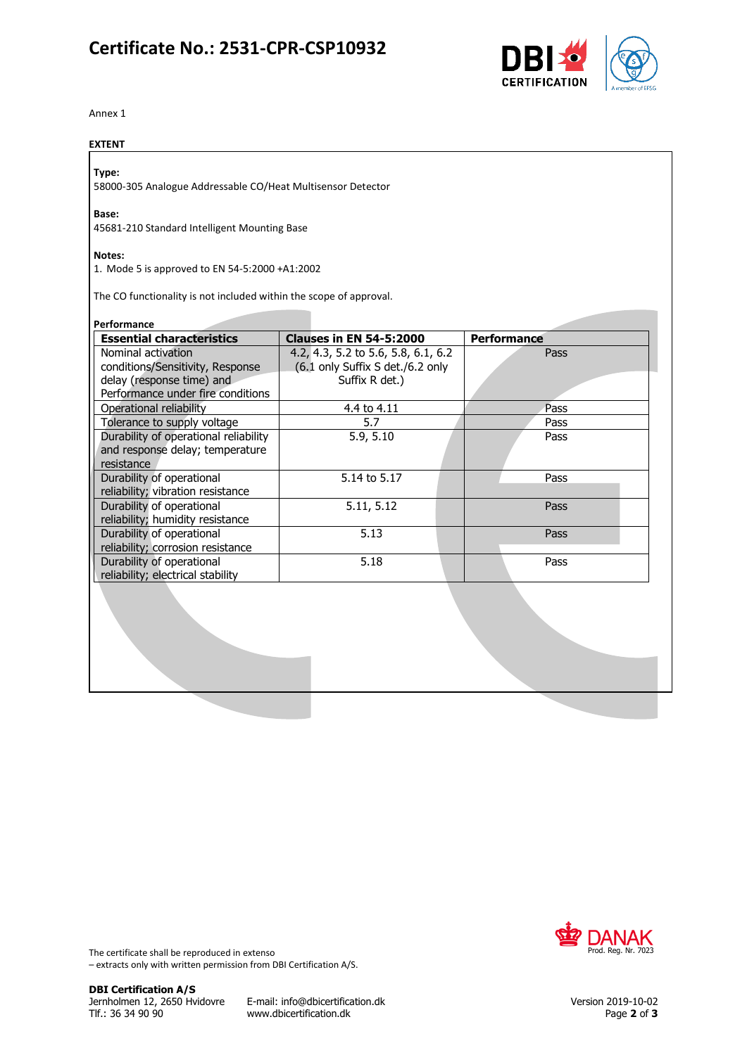# **Certificate No.: 2531-CPR-CSP10932**



Annex 1

## **EXTENT**

## **Type:**

58000-305 Analogue Addressable CO/Heat Multisensor Detector

## **Base:**

45681-210 Standard Intelligent Mounting Base

### **Notes:**

1. Mode 5 is approved to EN 54-5:2000 +A1:2002

The CO functionality is not included within the scope of approval.

| <b>Essential characteristics</b>      | <b>Clauses in EN 54-5:2000</b>      | <b>Performance</b> |
|---------------------------------------|-------------------------------------|--------------------|
| Nominal activation                    | 4.2, 4.3, 5.2 to 5.6, 5.8, 6.1, 6.2 | Pass               |
| conditions/Sensitivity, Response      | (6.1 only Suffix S det./6.2 only    |                    |
| delay (response time) and             | Suffix R det.)                      |                    |
| Performance under fire conditions     |                                     |                    |
| Operational reliability               | 4.4 to 4.11                         | Pass               |
| Tolerance to supply voltage           | 5.7                                 | Pass               |
| Durability of operational reliability | 5.9, 5.10                           | Pass               |
| and response delay; temperature       |                                     |                    |
| resistance                            |                                     |                    |
| Durability of operational             | 5.14 to 5.17                        | Pass               |
| reliability; vibration resistance     |                                     |                    |
| Durability of operational             | 5.11, 5.12                          | Pass               |
| reliability; humidity resistance      |                                     |                    |
| Durability of operational             | 5.13                                | Pass               |
| reliability; corrosion resistance     |                                     |                    |
| Durability of operational             | 5.18                                | Pass               |
| reliability; electrical stability     |                                     |                    |



The certificate shall be reproduced in extenso – extracts only with written permission from DBI Certification A/S.

Jernholmen 12, 2650 Hvidovre E-mail: info@dbicertification.dk Version 2019-10-02 www.dbicertification.dk